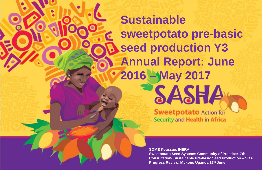# **Sustainable sweetpotato pre-basic seed production Y3 Annual Report: June 2016 – May 2017** SASHA

**Sweetpotato Action for** Security and Health in Africa

**SOME Koussao, INERA Sweetpotato Seed Systems Community of Practice: 7th Consultation- Sustainable Pre-basic Seed Production – SGA Progress Review. Mukono Uganda 12th June**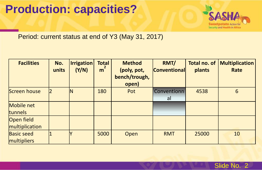### **Production: capacities?**



Period: current status at end of Y3 (May 31, 2017)

| <b>Facilities</b>                | No.<br>units | <b>Irrigation</b><br>(Y/N) | <b>Total</b><br>m | <b>Method</b><br>(poly, pot,<br>bench/trough,<br>open) | RMT/<br><b>Conventional</b> | Total no. of<br>plants | <b>Multiplication</b><br>Rate |
|----------------------------------|--------------|----------------------------|-------------------|--------------------------------------------------------|-----------------------------|------------------------|-------------------------------|
| Screen house                     | 12           | IN                         | 180               | Pot                                                    | Conventionn<br>al           | 4538                   | 6                             |
| Mobile net<br><b>tunnels</b>     |              |                            |                   |                                                        |                             |                        |                               |
| Open field<br>multiplication     |              |                            |                   |                                                        |                             |                        |                               |
| <b>Basic seed</b><br>multipliers |              |                            | 5000              | Open                                                   | <b>RMT</b>                  | 25000                  | 10                            |

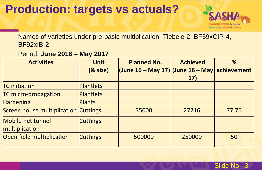### **Production: targets vs actuals?**



Names of varieties under pre-basic multiplication: Tiebele-2, BF59xCIP-4, BF92xIB-2

Period: **June 2016 – May 2017**

| <b>Activities</b>                    | <b>Unit</b>      | <b>Planned No.</b>                               | <b>Achieved</b> | %     |
|--------------------------------------|------------------|--------------------------------------------------|-----------------|-------|
|                                      | $(8$ size)       | (June 16 – May 17)  (June 16 – May   achievement |                 |       |
|                                      |                  |                                                  | 17)             |       |
| <b>TC</b> initiation                 | <b>Plantlets</b> |                                                  |                 |       |
| TC micro-propagation                 | Plantlets        |                                                  |                 |       |
| <b>Hardening</b>                     | Plants           |                                                  |                 |       |
| Screen house multiplication Cuttings |                  | 35000                                            | 27216           | 77.76 |
| Mobile net tunnel                    | <b>Cuttings</b>  |                                                  |                 |       |
| multiplication                       |                  |                                                  |                 |       |
| Open field multiplication            | <b>Cuttings</b>  | 500000                                           | 250000          | 50    |

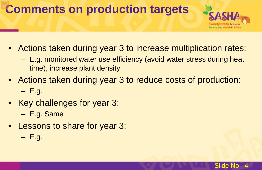## **Comments on production targets**



- Actions taken during year 3 to increase multiplication rates:
	- E.g. monitored water use efficiency (avoid water stress during heat time), increase plant density
- Actions taken during year 3 to reduce costs of production:

 $-$  E.g.

• Key challenges for year 3:

– E.g. Same

- Lessons to share for year 3:
	- $-$  E.g.

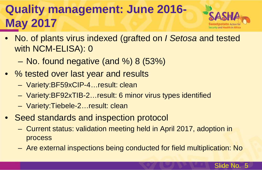## **Quality management: June 2016- May 2017**



- No. of plants virus indexed (grafted on *I Setosa* and tested with NCM-ELISA): 0
	- No. found negative (and %) 8 (53%)
- % tested over last year and results
	- Variety:BF59xCIP-4…result: clean
	- Variety:BF92xTIB-2…result: 6 minor virus types identified
	- Variety:Tiebele-2…result: clean
- Seed standards and inspection protocol
	- Current status: validation meeting held in April 2017, adoption in process
	- Are external inspections being conducted for field multiplication: No

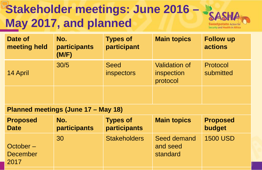## **Stakeholder meetings: June 2016 – May 2017, and planned**



| Date of<br>meeting held | No.<br><b>participants</b><br>(M/F) | <b>Types of</b><br>participant | <b>Main topics</b>                             | <b>Follow up</b><br><b>actions</b> |
|-------------------------|-------------------------------------|--------------------------------|------------------------------------------------|------------------------------------|
| 14 April                | 30/5                                | <b>Seed</b><br>inspectors      | <b>Validation of</b><br>inspection<br>protocol | Protocol<br>submitted              |
|                         |                                     |                                |                                                |                                    |

#### **Planned meetings (June 17 – May 18)**

| <b>Proposed</b>                     | No.          | <b>Types of</b>     | <b>Main topics</b>                  | <b>Proposed</b> |
|-------------------------------------|--------------|---------------------|-------------------------------------|-----------------|
| <b>Date</b>                         | participants | participants        |                                     | budget          |
| October-<br><b>December</b><br>2017 | 30           | <b>Stakeholders</b> | Seed demand<br>and seed<br>standard | <b>1500 USD</b> |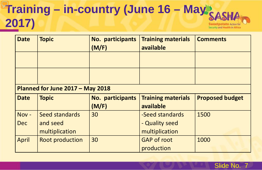#### **Training – in-country (June 16 – May 2017)** Sweetpotato Action for Security and Health in Africa

| <b>Date</b>                 | <b>Topic</b>                     | No. participants<br>(M/F) | <b>Training materials</b><br>available | <b>Comments</b>        |  |  |  |  |
|-----------------------------|----------------------------------|---------------------------|----------------------------------------|------------------------|--|--|--|--|
|                             |                                  |                           |                                        |                        |  |  |  |  |
|                             |                                  |                           |                                        |                        |  |  |  |  |
|                             | Planned for June 2017 - May 2018 |                           |                                        |                        |  |  |  |  |
| <b>Topic</b><br><b>Date</b> |                                  | No. participants          | <b>Training materials</b>              | <b>Proposed budget</b> |  |  |  |  |
|                             |                                  | (M/F)                     | available                              |                        |  |  |  |  |
| Nov-                        | Seed standards                   | 30                        | -Seed standards                        | 1500                   |  |  |  |  |
| <b>Dec</b>                  | and seed                         |                           | - Quality seed                         |                        |  |  |  |  |
|                             | multiplication                   |                           | multiplication                         |                        |  |  |  |  |
| April                       | <b>Root production</b>           | 30                        | <b>GAP of root</b>                     | 1000                   |  |  |  |  |
|                             |                                  |                           | production                             |                        |  |  |  |  |

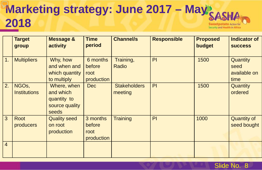#### **Marketing strategy: June 2017 – May: 2018** Sweetpotato Action for Security and Health in Africa

|                | <b>Target</b><br>group                    | <b>Message &amp;</b><br>activity                                   | <b>Time</b><br>period                    | <b>Channel/s</b>               | <b>Responsible</b> | <b>Proposed</b><br>budget | <b>Indicator of</b><br><b>SUCCESS</b>           |
|----------------|-------------------------------------------|--------------------------------------------------------------------|------------------------------------------|--------------------------------|--------------------|---------------------------|-------------------------------------------------|
| 1.             | <b>Multipliers</b>                        | Why, how<br>and when and<br>which quantity<br>to multiply          | 6 months<br>before<br>root<br>production | Training,<br>Radio             | PI                 | 1500                      | <b>Quantity</b><br>seed<br>available on<br>time |
| 2.             | NGO <sub>s</sub> ,<br><b>Institutions</b> | Where, when<br>and which<br>quantity to<br>source quality<br>seeds | <b>Dec</b>                               | <b>Stakeholders</b><br>meeting | PI                 | 1500                      | Quantity<br>ordered                             |
| 3              | Root<br>producers                         | <b>Quality seed</b><br>on root<br>production                       | 3 months<br>before<br>root<br>production | <b>Training</b>                | PI                 | 1000                      | <b>Quantity of</b><br>seed bought               |
| $\overline{4}$ |                                           |                                                                    |                                          |                                |                    |                           |                                                 |

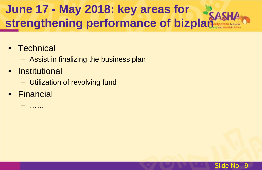## **June 17 - May 2018: key areas for strengthening performance of bizplan**

- Technical
	- Assist in finalizing the business plan
- Institutional
	- Utilization of revolving fund
- Financial
	- ……

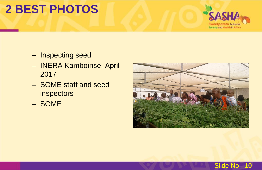## **2 BEST PHOTOS**



- Inspecting seed
- INERA Kamboinse, April 2017
- SOME staff and seed inspectors
- SOME